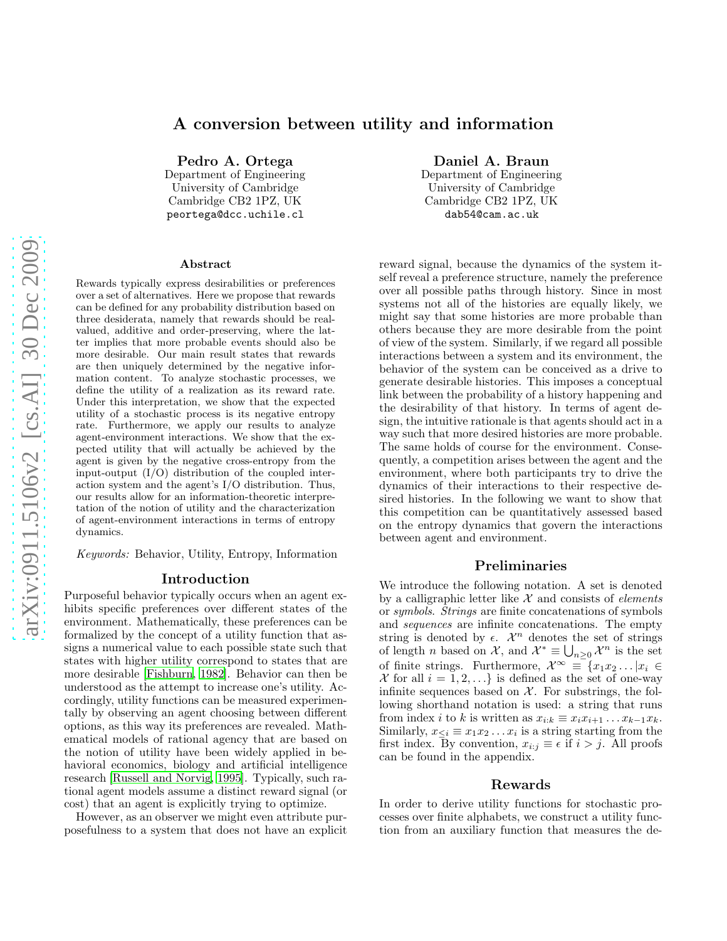# A conversion between utility and information

Pedro A. Ortega Department of Engineering University of Cambridge

Cambridge CB2 1PZ, UK peortega@dcc.uchile.cl

#### Abstract

Rewards typically express desirabilities or preferences over a set of alternatives. Here we propose that rewards can be defined for any probability distribution based on three desiderata, namely that rewards should be realvalued, additive and order-preserving, where the latter implies that more probable events should also be more desirable. Our main result states that rewards are then uniquely determined by the negative information content. To analyze stochastic processes, we define the utility of a realization as its reward rate. Under this interpretation, we show that the expected utility of a stochastic process is its negative entropy rate. Furthermore, we apply our results to analyze agent-environment interactions. We show that the expected utility that will actually be achieved by the agent is given by the negative cross-entropy from the input-output  $(I/O)$  distribution of the coupled interaction system and the agent's I/O distribution. Thus, our results allow for an information-theoretic interpretation of the notion of utility and the characterization of agent-environment interactions in terms of entropy dynamics.

Keywords: Behavior, Utility, Entropy, Information

#### Introduction

Purposeful behavior typically occurs when an agent exhibits specific preferences over different states of the environment. Mathematically, these preferences can be formalized by the concept of a utility function that assigns a numerical value to each possible state such that states with higher utility correspond to states that are more desirable [\[Fishburn](#page-5-0), [1982\]](#page-5-0). Behavior can then be understood as the attempt to increase one's utility. Accordingly, utility functions can be measured experimentally by observing an agent choosing between different options, as this way its preferences are revealed. Mathematical models of rational agency that are based on the notion of utility have been widely applied in behavioral economics, biology and artificial intelligence research [\[Russell and Norvig, 1995](#page-5-1)]. Typically, such rational agent models assume a distinct reward signal (or cost) that an agent is explicitly trying to optimize.

However, as an observer we might even attribute purposefulness to a system that does not have an explicit

# Daniel A. Braun

Department of Engineering University of Cambridge Cambridge CB2 1PZ, UK dab54@cam.ac.uk

reward signal, because the dynamics of the system itself reveal a preference structure, namely the preference over all possible paths through history. Since in most systems not all of the histories are equally likely, we might say that some histories are more probable than others because they are more desirable from the point of view of the system. Similarly, if we regard all possible interactions between a system and its environment, the behavior of the system can be conceived as a drive to generate desirable histories. This imposes a conceptual link between the probability of a history happening and the desirability of that history. In terms of agent design, the intuitive rationale is that agents should act in a way such that more desired histories are more probable. The same holds of course for the environment. Consequently, a competition arises between the agent and the environment, where both participants try to drive the dynamics of their interactions to their respective desired histories. In the following we want to show that this competition can be quantitatively assessed based on the entropy dynamics that govern the interactions between agent and environment.

## Preliminaries

We introduce the following notation. A set is denoted by a calligraphic letter like  $\mathcal X$  and consists of *elements* or symbols. Strings are finite concatenations of symbols and sequences are infinite concatenations. The empty string is denoted by  $\epsilon$ .  $\mathcal{X}^n$  denotes the set of strings of length *n* based on  $\mathcal{X}$ , and  $\mathcal{X}^* \equiv \bigcup_{n \geq 0} \mathcal{X}^n$  is the set of finite strings. Furthermore,  $\mathcal{X}^{\infty} \equiv \{x_1x_2 \dots | x_i \in$ X for all  $i = 1, 2, \ldots$  is defined as the set of one-way infinite sequences based on  $X$ . For substrings, the following shorthand notation is used: a string that runs from index *i* to *k* is written as  $x_{i:k} \equiv x_i x_{i+1} \dots x_{k-1} x_k$ . Similarly,  $x_{\leq i} \equiv x_1 x_2 \dots x_i$  is a string starting from the first index. By convention,  $x_{i:j} \equiv \epsilon$  if  $i > j$ . All proofs can be found in the appendix.

## Rewards

In order to derive utility functions for stochastic processes over finite alphabets, we construct a utility function from an auxiliary function that measures the de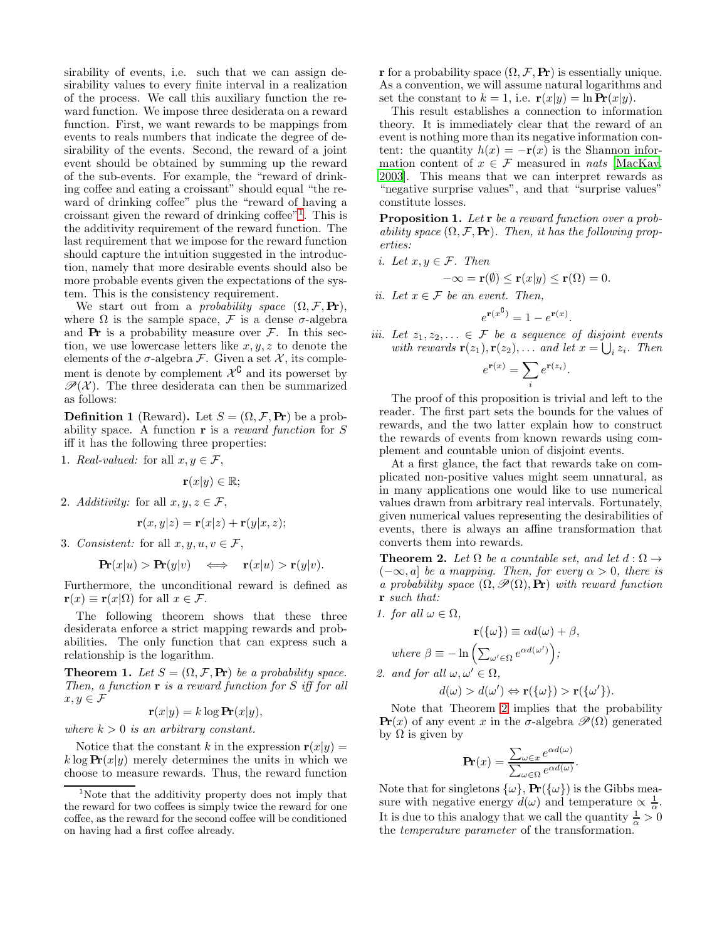sirability of events, i.e. such that we can assign desirability values to every finite interval in a realization of the process. We call this auxiliary function the reward function. We impose three desiderata on a reward function. First, we want rewards to be mappings from events to reals numbers that indicate the degree of desirability of the events. Second, the reward of a joint event should be obtained by summing up the reward of the sub-events. For example, the "reward of drinking coffee and eating a croissant" should equal "the reward of drinking coffee" plus the "reward of having a croissant given the reward of drinking coffee"[1](#page-1-0) . This is the additivity requirement of the reward function. The last requirement that we impose for the reward function should capture the intuition suggested in the introduction, namely that more desirable events should also be more probable events given the expectations of the system. This is the consistency requirement.

We start out from a *probability space*  $(\Omega, \mathcal{F}, \textbf{Pr})$ , where  $\Omega$  is the sample space,  $\mathcal F$  is a dense  $\sigma$ -algebra and  $Pr$  is a probability measure over  $F$ . In this section, we use lowercase letters like  $x, y, z$  to denote the elements of the  $\sigma$ -algebra  $\mathcal F$ . Given a set  $\mathcal X$ , its complement is denote by complement  $\mathcal{X}^{\complement}$  and its powerset by  $\mathscr{P}(\mathcal{X})$ . The three desiderata can then be summarized as follows:

**Definition 1** (Reward). Let  $S = (\Omega, \mathcal{F}, \mathbf{Pr})$  be a probability space. A function  $\bf{r}$  is a reward function for  $S$ iff it has the following three properties:

1. Real-valued: for all  $x, y \in \mathcal{F}$ ,

$$
\mathbf{r}(x|y) \in \mathbb{R};
$$

2. Additivity: for all  $x, y, z \in \mathcal{F}$ ,

$$
\mathbf{r}(x,y|z) = \mathbf{r}(x|z) + \mathbf{r}(y|x,z);
$$

3. Consistent: for all  $x, y, u, v \in \mathcal{F}$ ,

$$
\mathbf{Pr}(x|u) > \mathbf{Pr}(y|v) \quad \Longleftrightarrow \quad \mathbf{r}(x|u) > \mathbf{r}(y|v).
$$

Furthermore, the unconditional reward is defined as  $\mathbf{r}(x) \equiv \mathbf{r}(x|\Omega)$  for all  $x \in \mathcal{F}$ .

The following theorem shows that these three desiderata enforce a strict mapping rewards and probabilities. The only function that can express such a relationship is the logarithm.

<span id="page-1-2"></span>**Theorem 1.** Let  $S = (\Omega, \mathcal{F}, \mathbf{Pr})$  be a probability space. Then, a function  $\mathbf r$  is a reward function for  $S$  iff for all  $x, y \in \mathcal{F}$ 

$$
\mathbf{r}(x|y) = k \log \mathbf{Pr}(x|y),
$$

where  $k > 0$  is an arbitrary constant.

Notice that the constant k in the expression  $r(x|y) =$  $k \log \mathbf{Pr}(x|y)$  merely determines the units in which we choose to measure rewards. Thus, the reward function r for a probability space  $(\Omega, \mathcal{F}, P_r)$  is essentially unique. As a convention, we will assume natural logarithms and set the constant to  $k = 1$ , i.e.  $\mathbf{r}(x|y) = \ln \mathbf{Pr}(x|y)$ .

This result establishes a connection to information theory. It is immediately clear that the reward of an event is nothing more than its negative information content: the quantity  $h(x) = -\mathbf{r}(x)$  is the Shannon information content of  $x \in \mathcal{F}$  measured in *nats* [\[MacKay](#page-5-2), [2003\]](#page-5-2). This means that we can interpret rewards as "negative surprise values", and that "surprise values" constitute losses.

Proposition 1. Let r be a reward function over a probability space  $(\Omega, \mathcal{F}, \mathbf{Pr})$ . Then, it has the following properties:

i. Let 
$$
x, y \in \mathcal{F}
$$
. Then

$$
-\infty = \mathbf{r}(\emptyset) \le \mathbf{r}(x|y) \le \mathbf{r}(\Omega) = 0.
$$

ii. Let  $x \in \mathcal{F}$  be an event. Then,

$$
e^{\mathbf{r}(x^{\mathbf{C}})} = 1 - e^{\mathbf{r}(x)}.
$$

iii. Let  $z_1, z_2, \ldots \in \mathcal{F}$  be a sequence of disjoint events with rewards  $\mathbf{r}(z_1), \mathbf{r}(z_2), \ldots$  and let  $x = \bigcup_i z_i$ . Then

$$
e^{\mathbf{r}(x)} = \sum_{i} e^{\mathbf{r}(z_i)}.
$$

The proof of this proposition is trivial and left to the reader. The first part sets the bounds for the values of rewards, and the two latter explain how to construct the rewards of events from known rewards using complement and countable union of disjoint events.

At a first glance, the fact that rewards take on complicated non-positive values might seem unnatural, as in many applications one would like to use numerical values drawn from arbitrary real intervals. Fortunately, given numerical values representing the desirabilities of events, there is always an affine transformation that converts them into rewards.

<span id="page-1-1"></span>**Theorem 2.** Let  $\Omega$  be a countable set, and let  $d : \Omega \rightarrow$  $(-\infty, a]$  be a mapping. Then, for every  $\alpha > 0$ , there is a probability space  $(\Omega, \mathcal{P}(\Omega), \mathbf{Pr})$  with reward function r such that:

1. for all 
$$
\omega \in \Omega
$$
,

$$
\mathbf{r}(\{\omega\}) \equiv \alpha d(\omega) + \beta,
$$
  
where  $\beta \equiv -\ln\left(\sum_{\omega' \in \Omega} e^{\alpha d(\omega')}\right);$ 

2. and for all  $\omega, \omega' \in \Omega$ ,

$$
d(\omega) > d(\omega') \Leftrightarrow \mathbf{r}(\{\omega\}) > \mathbf{r}(\{\omega'\}).
$$

Note that Theorem [2](#page-1-1) implies that the probability **Pr**(x) of any event x in the  $\sigma$ -algebra  $\mathscr{P}(\Omega)$  generated by Ω is given by

$$
\mathbf{Pr}(x) = \frac{\sum_{\omega \in x} e^{\alpha d(\omega)}}{\sum_{\omega \in \Omega} e^{\alpha d(\omega)}}.
$$

Note that for singletons  $\{\omega\}$ ,  $\mathbf{Pr}(\{\omega\})$  is the Gibbs measure with negative energy  $d(\omega)$  and temperature  $\propto \frac{1}{\alpha}$ . It is due to this analogy that we call the quantity  $\frac{1}{\alpha} > 0$ the temperature parameter of the transformation.

<span id="page-1-0"></span><sup>1</sup>Note that the additivity property does not imply that the reward for two coffees is simply twice the reward for one coffee, as the reward for the second coffee will be conditioned on having had a first coffee already.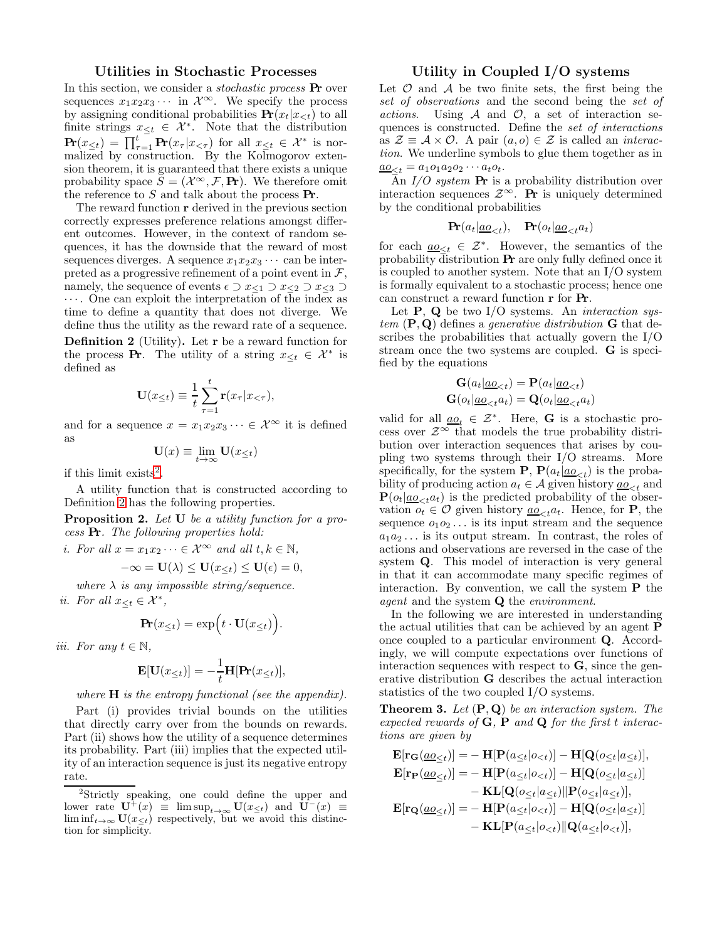#### Utilities in Stochastic Processes

In this section, we consider a stochastic process Pr over sequences  $x_1x_2x_3 \cdots$  in  $\mathcal{X}^{\infty}$ . We specify the process by assigning conditional probabilities  $Pr(x_t|x_{<}; t)$  to all finite strings  $x_{\leq t} \in \mathcal{X}^*$ . Note that the distribution  $\mathbf{Pr}(x_{\leq t}) = \prod_{\tau=1}^t \mathbf{Pr}(x_{\tau}|x_{<\tau})$  for all  $x_{\leq t} \in \mathcal{X}^*$  is normalized by construction. By the Kolmogorov extension theorem, it is guaranteed that there exists a unique probability space  $S = (\mathcal{X}^{\infty}, \mathcal{F}, \mathbf{Pr})$ . We therefore omit the reference to  $S$  and talk about the process  $Pr$ .

The reward function r derived in the previous section correctly expresses preference relations amongst different outcomes. However, in the context of random sequences, it has the downside that the reward of most sequences diverges. A sequence  $x_1x_2x_3\cdots$  can be interpreted as a progressive refinement of a point event in  $\mathcal{F},$ namely, the sequence of events  $\epsilon \supset x_{\leq 1} \supset x_{\leq 2} \supset x_{\leq 3}$ · · · . One can exploit the interpretation of the index as time to define a quantity that does not diverge. We define thus the utility as the reward rate of a sequence.

<span id="page-2-1"></span>Definition 2 (Utility). Let r be a reward function for the process **Pr**. The utility of a string  $x_{\leq t} \in \mathcal{X}^*$  is defined as

$$
\mathbf{U}(x_{\leq t}) \equiv \frac{1}{t} \sum_{\tau=1}^{t} \mathbf{r}(x_{\tau} | x_{<\tau}),
$$

and for a sequence  $x = x_1x_2x_3 \cdots \in \mathcal{X}^{\infty}$  it is defined as

$$
\mathbf{U}(x)\equiv\lim_{t\rightarrow\infty}\mathbf{U}(x_{\leq t})
$$

if this limit exists<sup>[2](#page-2-0)</sup>.

A utility function that is constructed according to Definition [2](#page-2-1) has the following properties.

<span id="page-2-3"></span>Proposition 2. Let U be a utility function for a process Pr. The following properties hold:

i. For all  $x = x_1x_2 \cdots \in \mathcal{X}^{\infty}$  and all  $t, k \in \mathbb{N}$ ,

 $-\infty = \mathbf{U}(\lambda) \leq \mathbf{U}(x_{\leq t}) \leq \mathbf{U}(\epsilon) = 0,$ 

where  $\lambda$  is any impossible string/sequence. ii. For all  $x_{\leq t} \in \mathcal{X}^*$ ,

$$
\mathbf{Pr}(x_{\leq t}) = \exp(t \cdot \mathbf{U}(x_{\leq t})\big).
$$

iii. For any  $t \in \mathbb{N}$ ,

$$
\mathbf{E}[\mathbf{U}(x_{\leq t})] = -\frac{1}{t}\mathbf{H}[\mathbf{Pr}(x_{\leq t})],
$$

where  $H$  is the entropy functional (see the appendix).

Part (i) provides trivial bounds on the utilities that directly carry over from the bounds on rewards. Part (ii) shows how the utility of a sequence determines its probability. Part (iii) implies that the expected utility of an interaction sequence is just its negative entropy rate.

# Utility in Coupled I/O systems

Let  $\mathcal O$  and  $\mathcal A$  be two finite sets, the first being the set of observations and the second being the set of actions. Using  $A$  and  $O$ , a set of interaction sequences is constructed. Define the set of interactions as  $\mathcal{Z} \equiv \mathcal{A} \times \mathcal{O}$ . A pair  $(a, o) \in \mathcal{Z}$  is called an *interac*tion. We underline symbols to glue them together as in  $\underline{a_0}_{\leq t} = a_1 o_1 a_2 o_2 \cdots a_t o_t.$ 

An  $I/O$  system **Pr** is a probability distribution over interaction sequences  $\mathcal{Z}^{\infty}$ . Pr is uniquely determined by the conditional probabilities

$$
\mathbf{Pr}(a_t | \underline{ao}_{\lt t}), \quad \mathbf{Pr}(o_t | \underline{ao}_{\lt t} a_t)
$$

for each  $\underline{ao}_{\leq t} \in \mathcal{Z}^*$ . However, the semantics of the probability distribution Pr are only fully defined once it is coupled to another system. Note that an I/O system is formally equivalent to a stochastic process; hence one can construct a reward function r for Pr.

Let  $P$ ,  $Q$  be two I/O systems. An *interaction sys*tem  $(\mathbf{P}, \mathbf{Q})$  defines a *generative distribution* **G** that describes the probabilities that actually govern the I/O stream once the two systems are coupled. G is specified by the equations

$$
\mathbf{G}(a_t | \underline{ao}_{\leq t}) = \mathbf{P}(a_t | \underline{ao}_{\leq t})
$$
  

$$
\mathbf{G}(o_t | \underline{ao}_{\leq t} a_t) = \mathbf{Q}(o_t | \underline{ao}_{\leq t} a_t)
$$

valid for all  $\underline{ao}_t \in \mathcal{Z}^*$ . Here, **G** is a stochastic process over  $\mathcal{Z}^{\infty}$  that models the true probability distribution over interaction sequences that arises by coupling two systems through their I/O streams. More specifically, for the system **P**,  $P(a_t|a_0 \n<sub>t</sub>)$  is the probability of producing action  $a_t \in \mathcal{A}$  given history  $\underline{ao}_{\leq t}$  and  $P(o_t|_{a_0}^{\prime}, a_t)$  is the predicted probability of the observation  $o_t \in \mathcal{O}$  given history  $\underline{ao}_{\leq t}a_t$ . Hence, for **P**, the sequence  $o_1o_2 \ldots$  is its input stream and the sequence  $a_1a_2...$  is its output stream. In contrast, the roles of actions and observations are reversed in the case of the system Q. This model of interaction is very general in that it can accommodate many specific regimes of interaction. By convention, we call the system  $P$  the *agent* and the system **Q** the *environment*.

In the following we are interested in understanding the actual utilities that can be achieved by an agent P once coupled to a particular environment Q. Accordingly, we will compute expectations over functions of interaction sequences with respect to **, since the gen**erative distribution G describes the actual interaction statistics of the two coupled I/O systems.

<span id="page-2-2"></span>**Theorem 3.** Let  $(P, Q)$  be an interaction system. The expected rewards of  $G$ ,  $P$  and  $Q$  for the first t interactions are given by

$$
\mathbf{E}[\mathbf{r}_{\mathbf{G}}(\underline{a\omega}_{\leq t})] = -\mathbf{H}[\mathbf{P}(a_{\leq t}|\mathbf{o}_{\n
$$
\mathbf{E}[\mathbf{r}_{\mathbf{P}}(\underline{a\omega}_{\leq t})] = -\mathbf{H}[\mathbf{P}(a_{\leq t}|\mathbf{o}_{\n
$$
-\mathbf{KL}[\mathbf{Q}(\mathbf{o}_{\leq t}|\mathbf{a}_{\leq t})] - \mathbf{P}(\mathbf{o}_{\leq t}|\mathbf{a}_{\leq t})],
$$
\n
$$
\mathbf{E}[\mathbf{r}_{\mathbf{Q}}(\underline{a\mathbf{o}}_{\leq t})] = -\mathbf{H}[\mathbf{P}(a_{\leq t}|\mathbf{o}_{\n
$$
-\mathbf{KL}[\mathbf{P}(a_{\leq t}|\mathbf{o}_{
$$
$$
$$
$$

<span id="page-2-0"></span><sup>2</sup> Strictly speaking, one could define the upper and lower rate  $\mathbf{U}^+(x) \equiv \limsup_{t\to\infty} \mathbf{U}(x_{\leq t})$  and  $\mathbf{U}^-(x) \equiv$  $\liminf_{t\to\infty}$   $\mathbf{U}(x_{\leq t})$  respectively, but we avoid this distinction for simplicity.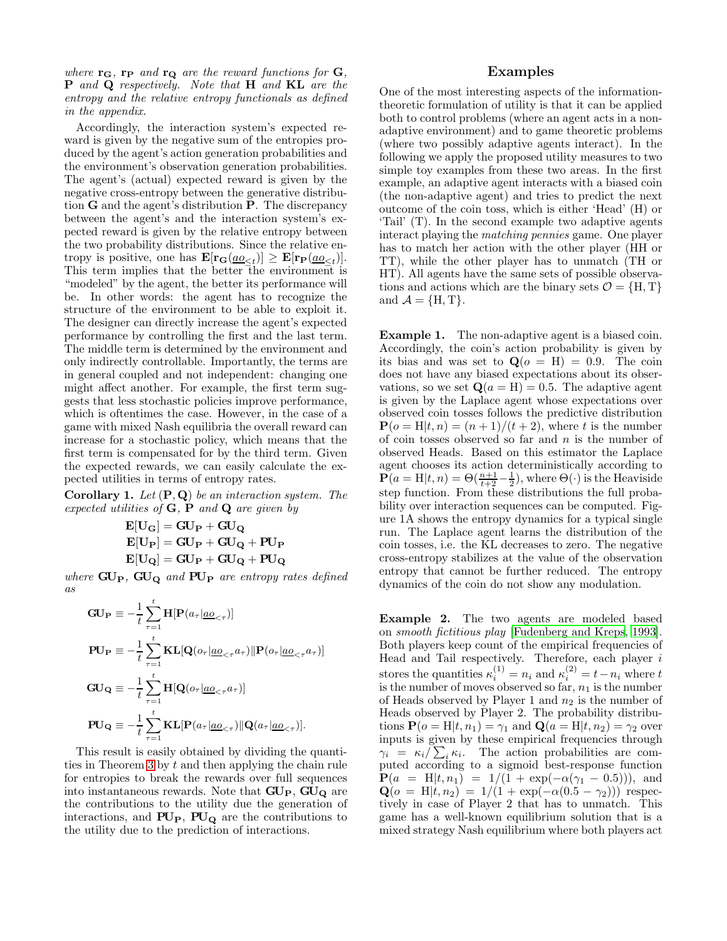where  $\mathbf{r}_{\mathbf{G}}$ ,  $\mathbf{r}_{\mathbf{P}}$  and  $\mathbf{r}_{\mathbf{Q}}$  are the reward functions for  $\mathbf{G}$ , P and Q respectively. Note that H and KL are the entropy and the relative entropy functionals as defined in the appendix.

Accordingly, the interaction system's expected reward is given by the negative sum of the entropies produced by the agent's action generation probabilities and the environment's observation generation probabilities. The agent's (actual) expected reward is given by the negative cross-entropy between the generative distribution G and the agent's distribution P. The discrepancy between the agent's and the interaction system's expected reward is given by the relative entropy between the two probability distributions. Since the relative entropy is positive, one has  $\mathbf{E}[\mathbf{r}_{\mathbf{G}}(\underline{ao}_{\leq t})] \geq \mathbf{E}[\mathbf{r}_{\mathbf{P}}(\underline{ao}_{\leq t})].$ This term implies that the better the environment is "modeled" by the agent, the better its performance will be. In other words: the agent has to recognize the structure of the environment to be able to exploit it. The designer can directly increase the agent's expected performance by controlling the first and the last term. The middle term is determined by the environment and only indirectly controllable. Importantly, the terms are in general coupled and not independent: changing one might affect another. For example, the first term suggests that less stochastic policies improve performance, which is oftentimes the case. However, in the case of a game with mixed Nash equilibria the overall reward can increase for a stochastic policy, which means that the first term is compensated for by the third term. Given the expected rewards, we can easily calculate the expected utilities in terms of entropy rates.

**Corollary 1.** Let  $(P, Q)$  be an interaction system. The expected utilities of  $G, P$  and  $Q$  are given by

$$
E[U_G] = GU_P + GU_Q
$$
  
\n
$$
E[U_P] = GU_P + GU_Q + PU_P
$$
  
\n
$$
E[U_Q] = GU_P + GU_Q + PU_Q
$$

where  $GU_{P}$ ,  $GU_{Q}$  and  $PU_{P}$  are entropy rates defined as

$$
\begin{aligned}\n\mathbf{GU}_{\mathbf{P}} &\equiv -\frac{1}{t} \sum_{\tau=1}^{t} \mathbf{H}[\mathbf{P}(a_{\tau} | \underline{ao}_{<\tau})] \\
\mathbf{PU}_{\mathbf{P}} &\equiv -\frac{1}{t} \sum_{\tau=1}^{t} \mathbf{KL}[\mathbf{Q}(o_{\tau} | \underline{ao}_{<\tau} a_{\tau}) || \mathbf{P}(o_{\tau} | \underline{ao}_{<\tau} a_{\tau})] \\
\mathbf{GU}_{\mathbf{Q}} &\equiv -\frac{1}{t} \sum_{\tau=1}^{t} \mathbf{H}[\mathbf{Q}(o_{\tau} | \underline{ao}_{<\tau} a_{\tau})] \\
\mathbf{PU}_{\mathbf{Q}} &\equiv -\frac{1}{t} \sum_{\tau=1}^{t} \mathbf{KL}[\mathbf{P}(a_{\tau} | \underline{ao}_{<\tau}) || \mathbf{Q}(a_{\tau} | \underline{ao}_{<\tau})].\n\end{aligned}
$$

This result is easily obtained by dividing the quanti-ties in Theorem [3](#page-2-2) by  $t$  and then applying the chain rule for entropies to break the rewards over full sequences into instantaneous rewards. Note that  $GU_{P}$ ,  $GU_{Q}$  are the contributions to the utility due the generation of interactions, and  $PU_P$ ,  $PU_Q$  are the contributions to the utility due to the prediction of interactions.

## Examples

One of the most interesting aspects of the informationtheoretic formulation of utility is that it can be applied both to control problems (where an agent acts in a nonadaptive environment) and to game theoretic problems (where two possibly adaptive agents interact). In the following we apply the proposed utility measures to two simple toy examples from these two areas. In the first example, an adaptive agent interacts with a biased coin (the non-adaptive agent) and tries to predict the next outcome of the coin toss, which is either 'Head' (H) or 'Tail' (T). In the second example two adaptive agents interact playing the matching pennies game. One player has to match her action with the other player (HH or TT), while the other player has to unmatch (TH or HT). All agents have the same sets of possible observations and actions which are the binary sets  $\mathcal{O} = \{H, T\}$ and  $\mathcal{A} = \{H, T\}.$ 

Example 1. The non-adaptive agent is a biased coin. Accordingly, the coin's action probability is given by its bias and was set to  $\mathbf{Q}(o = \mathbf{H}) = 0.9$ . The coin does not have any biased expectations about its observations, so we set  $\mathbf{Q}(a = \mathbf{H}) = 0.5$ . The adaptive agent is given by the Laplace agent whose expectations over observed coin tosses follows the predictive distribution  $P(o = H|t, n) = (n + 1)/(t + 2)$ , where t is the number of coin tosses observed so far and  $n$  is the number of observed Heads. Based on this estimator the Laplace agent chooses its action deterministically according to  $\mathbf{P}(a = H|t, n) = \Theta(\frac{n+1}{t+2} - \frac{1}{2}),$  where  $\Theta(\cdot)$  is the Heaviside step function. From these distributions the full probability over interaction sequences can be computed. Figure 1A shows the entropy dynamics for a typical single run. The Laplace agent learns the distribution of the coin tosses, i.e. the KL decreases to zero. The negative cross-entropy stabilizes at the value of the observation entropy that cannot be further reduced. The entropy dynamics of the coin do not show any modulation.

Example 2. The two agents are modeled based on smooth fictitious play [\[Fudenberg and Kreps, 1993\]](#page-5-3). Both players keep count of the empirical frequencies of Head and Tail respectively. Therefore, each player  $i$ stores the quantities  $\kappa_i^{(1)} = n_i$  and  $\kappa_i^{(2)} = t - n_i$  where t is the number of moves observed so far,  $n_1$  is the number of Heads observed by Player 1 and  $n_2$  is the number of Heads observed by Player 2. The probability distributions  $P(o = H|t, n_1) = \gamma_1$  and  $Q(a = H|t, n_2) = \gamma_2$  over inputs is given by these empirical frequencies through  $\gamma_i = \kappa_i / \sum_i \kappa_i$ . The action probabilities are computed according to a sigmoid best-response function  $P(a = H|t, n_1) = 1/(1 + \exp(-\alpha(\gamma_1 - 0.5))),$  and  $\mathbf{Q}(o = H | t, n_2) = 1/(1 + \exp(-\alpha(0.5 - \gamma_2)))$  respectively in case of Player 2 that has to unmatch. This game has a well-known equilibrium solution that is a mixed strategy Nash equilibrium where both players act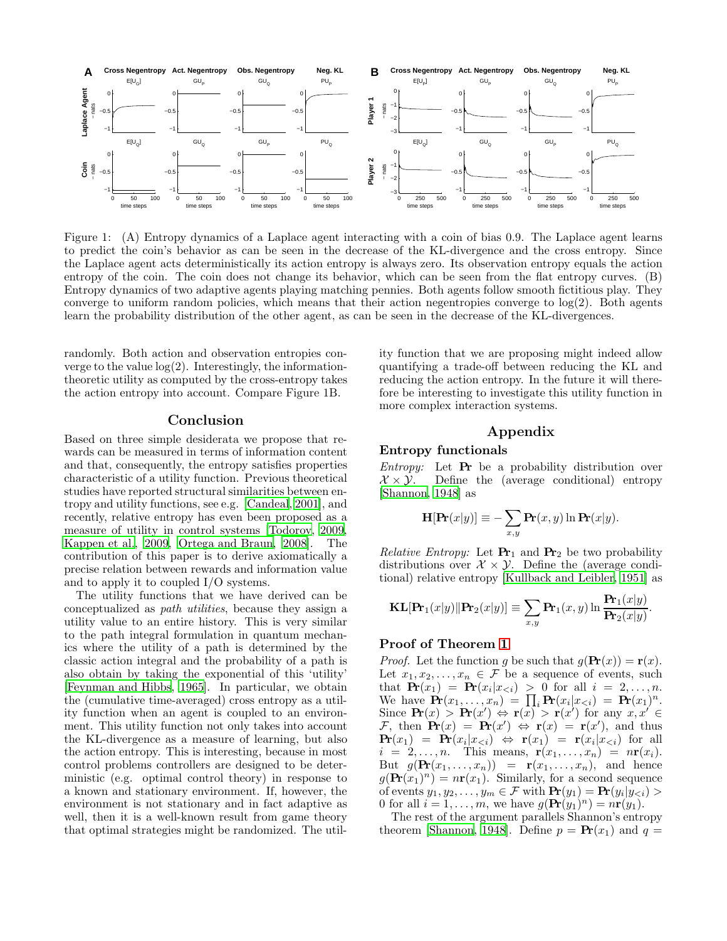

Figure 1: (A) Entropy dynamics of a Laplace agent interacting with a coin of bias 0.9. The Laplace agent learns to predict the coin's behavior as can be seen in the decrease of the KL-divergence and the cross entropy. Since the Laplace agent acts deterministically its action entropy is always zero. Its observation entropy equals the action entropy of the coin. The coin does not change its behavior, which can be seen from the flat entropy curves. (B) Entropy dynamics of two adaptive agents playing matching pennies. Both agents follow smooth fictitious play. They converge to uniform random policies, which means that their action negentropies converge to log(2). Both agents learn the probability distribution of the other agent, as can be seen in the decrease of the KL-divergences.

randomly. Both action and observation entropies converge to the value  $log(2)$ . Interestingly, the informationtheoretic utility as computed by the cross-entropy takes the action entropy into account. Compare Figure 1B.

#### Conclusion

Based on three simple desiderata we propose that rewards can be measured in terms of information content and that, consequently, the entropy satisfies properties characteristic of a utility function. Previous theoretical studies have reported structural similarities between entropy and utility functions, see e.g. [\[Candeal, 2001\]](#page-5-4), and recently, relative entropy has even been proposed as a measure of utility in control systems [\[Todorov, 2009,](#page-5-5) [Kappen et al., 2009,](#page-5-6) [Ortega and Braun, 2008\]](#page-5-7). The contribution of this paper is to derive axiomatically a precise relation between rewards and information value and to apply it to coupled I/O systems.

The utility functions that we have derived can be conceptualized as path utilities, because they assign a utility value to an entire history. This is very similar to the path integral formulation in quantum mechanics where the utility of a path is determined by the classic action integral and the probability of a path is also obtain by taking the exponential of this 'utility' [\[Feynman and Hibbs](#page-5-8), [1965\]](#page-5-8). In particular, we obtain the (cumulative time-averaged) cross entropy as a utility function when an agent is coupled to an environment. This utility function not only takes into account the KL-divergence as a measure of learning, but also the action entropy. This is interesting, because in most control problems controllers are designed to be deterministic (e.g. optimal control theory) in response to a known and stationary environment. If, however, the environment is not stationary and in fact adaptive as well, then it is a well-known result from game theory that optimal strategies might be randomized. The utility function that we are proposing might indeed allow quantifying a trade-off between reducing the KL and reducing the action entropy. In the future it will therefore be interesting to investigate this utility function in more complex interaction systems.

## Appendix

#### Entropy functionals

*Entropy:* Let  $\mathbf{Pr}$  be a probability distribution over  $X \times Y$ . Define the (average conditional) entropy [\[Shannon, 1948\]](#page-5-9) as

$$
\mathbf{H}[\mathbf{Pr}(x|y)] \equiv -\sum_{x,y} \mathbf{Pr}(x,y) \ln \mathbf{Pr}(x|y).
$$

Relative Entropy: Let  $\mathbf{Pr}_1$  and  $\mathbf{Pr}_2$  be two probability distributions over  $\mathcal{X} \times \mathcal{Y}$ . Define the (average conditional) relative entropy [\[Kullback and Leibler](#page-5-10), [1951](#page-5-10)] as

$$
\mathbf{KL}[\mathbf{Pr}_1(x|y) \| \mathbf{Pr}_2(x|y)] \equiv \sum_{x,y} \mathbf{Pr}_1(x,y) \ln \frac{\mathbf{Pr}_1(x|y)}{\mathbf{Pr}_2(x|y)}.
$$

#### Proof of Theorem [1](#page-1-2)

*Proof.* Let the function g be such that  $g(\mathbf{Pr}(x)) = \mathbf{r}(x)$ . Let  $x_1, x_2, \ldots, x_n \in \mathcal{F}$  be a sequence of events, such that  $\mathbf{Pr}(x_1) = \mathbf{Pr}(x_i | x_{\leq i}) > 0$  for all  $i = 2, \ldots, n$ . We have  $\mathbf{Pr}(x_1, \ldots, x_n) = \prod_i \mathbf{Pr}(x_i | x_{\leq i}) = \mathbf{Pr}(x_1)^n$ . Since  $\mathbf{Pr}(x) > \mathbf{Pr}(x') \Leftrightarrow \mathbf{r}(x') > \mathbf{r}(x')$  for any  $x, x' \in$ F, then  $\mathbf{Pr}(x) = \mathbf{Pr}(x') \Leftrightarrow \mathbf{r}(x) = \mathbf{r}(x')$ , and thus  $\mathbf{Pr}(x_1) = \mathbf{Pr}(x_i|x_{\leq i}) \Leftrightarrow \mathbf{r}(x_1) = \mathbf{r}(x_i|x_{\leq i})$  for all  $i = 2, \ldots, n$ . This means,  $\mathbf{r}(x_1, \ldots, x_n) = n\mathbf{r}(x_i)$ . But  $g(\mathbf{Pr}(x_1,\ldots,x_n)) = \mathbf{r}(x_1,\ldots,x_n)$ , and hence  $g(\mathbf{Pr}(x_1)^n) = n\mathbf{r}(x_1)$ . Similarly, for a second sequence of events  $y_1, y_2, \ldots, y_m \in \mathcal{F}$  with  $\mathbf{Pr}(y_1) = \mathbf{Pr}(y_i | y_{\leq i}) >$ 0 for all  $i = 1, \ldots, m$ , we have  $g(\mathbf{Pr}(y_1)^n) = n\mathbf{r}(y_1)$ .

The rest of the argument parallels Shannon's entropy theorem [\[Shannon](#page-5-9), [1948\]](#page-5-9). Define  $p = \Pr(x_1)$  and  $q =$